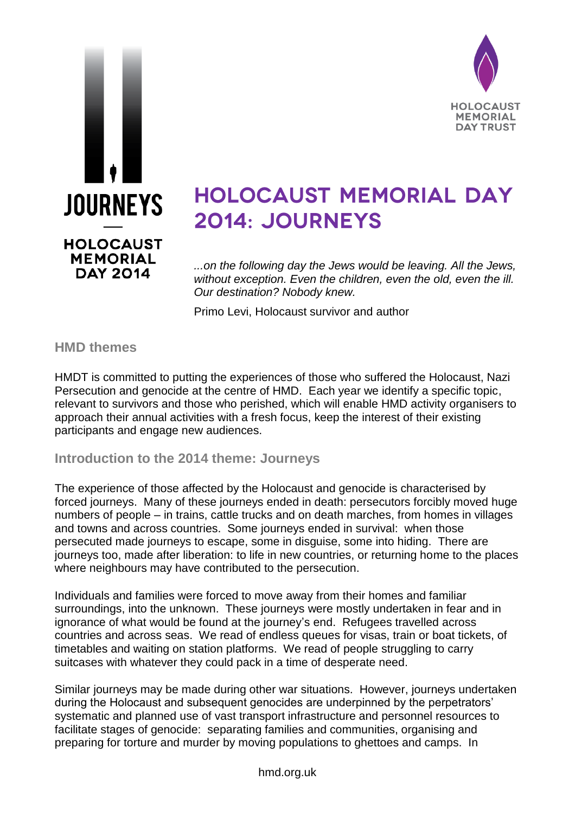



# **HOLOCAUST MEMORIAL DAY** 2014: JOURNEYS

*...on the following day the Jews would be leaving. All the Jews, without exception. Even the children, even the old, even the ill. Our destination? Nobody knew.* 

Primo Levi, Holocaust survivor and author

## **HMD themes**

HMDT is committed to putting the experiences of those who suffered the Holocaust, Nazi Persecution and genocide at the centre of HMD. Each year we identify a specific topic, relevant to survivors and those who perished, which will enable HMD activity organisers to approach their annual activities with a fresh focus, keep the interest of their existing participants and engage new audiences.

## **Introduction to the 2014 theme: Journeys**

The experience of those affected by the Holocaust and genocide is characterised by forced journeys. Many of these journeys ended in death: persecutors forcibly moved huge numbers of people – in trains, cattle trucks and on death marches, from homes in villages and towns and across countries. Some journeys ended in survival: when those persecuted made journeys to escape, some in disguise, some into hiding. There are journeys too, made after liberation: to life in new countries, or returning home to the places where neighbours may have contributed to the persecution.

Individuals and families were forced to move away from their homes and familiar surroundings, into the unknown. These journeys were mostly undertaken in fear and in ignorance of what would be found at the journey's end. Refugees travelled across countries and across seas. We read of endless queues for visas, train or boat tickets, of timetables and waiting on station platforms. We read of people struggling to carry suitcases with whatever they could pack in a time of desperate need.

Similar journeys may be made during other war situations. However, journeys undertaken during the Holocaust and subsequent genocides are underpinned by the perpetrators' systematic and planned use of vast transport infrastructure and personnel resources to facilitate stages of genocide: separating families and communities, organising and preparing for torture and murder by moving populations to ghettoes and camps. In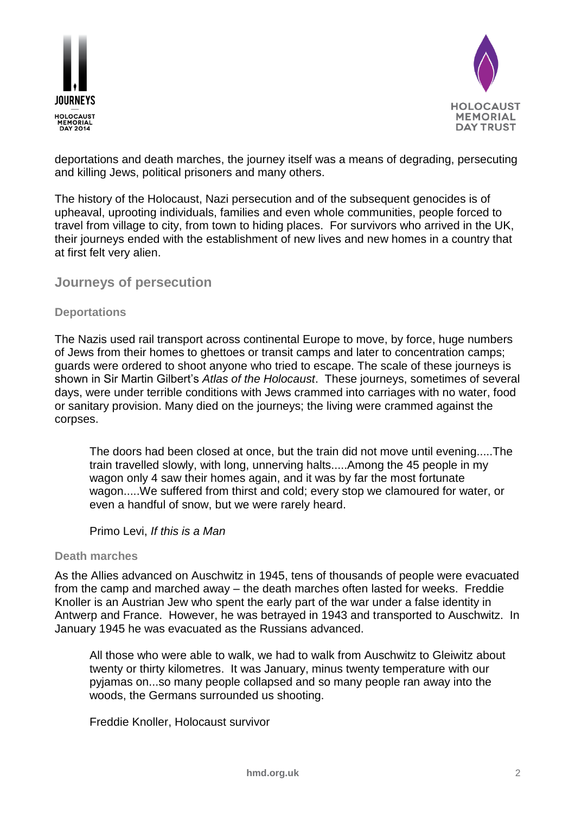



deportations and death marches, the journey itself was a means of degrading, persecuting and killing Jews, political prisoners and many others.

The history of the Holocaust, Nazi persecution and of the subsequent genocides is of upheaval, uprooting individuals, families and even whole communities, people forced to travel from village to city, from town to hiding places. For survivors who arrived in the UK, their journeys ended with the establishment of new lives and new homes in a country that at first felt very alien.

### **Journeys of persecution**

### **Deportations**

The Nazis used rail transport across continental Europe to move, by force, huge numbers of Jews from their homes to ghettoes or transit camps and later to concentration camps; guards were ordered to shoot anyone who tried to escape. The scale of these journeys is shown in Sir Martin Gilbert's *Atlas of the Holocaust*. These journeys, sometimes of several days, were under terrible conditions with Jews crammed into carriages with no water, food or sanitary provision. Many died on the journeys; the living were crammed against the corpses.

The doors had been closed at once, but the train did not move until evening.....The train travelled slowly, with long, unnerving halts.....Among the 45 people in my wagon only 4 saw their homes again, and it was by far the most fortunate wagon.....We suffered from thirst and cold; every stop we clamoured for water, or even a handful of snow, but we were rarely heard.

Primo Levi, *If this is a Man*

#### **Death marches**

As the Allies advanced on Auschwitz in 1945, tens of thousands of people were evacuated from the camp and marched away – the death marches often lasted for weeks. Freddie Knoller is an Austrian Jew who spent the early part of the war under a false identity in Antwerp and France. However, he was betrayed in 1943 and transported to Auschwitz. In January 1945 he was evacuated as the Russians advanced.

All those who were able to walk, we had to walk from Auschwitz to Gleiwitz about twenty or thirty kilometres. It was January, minus twenty temperature with our pyjamas on...so many people collapsed and so many people ran away into the woods, the Germans surrounded us shooting.

Freddie Knoller, Holocaust survivor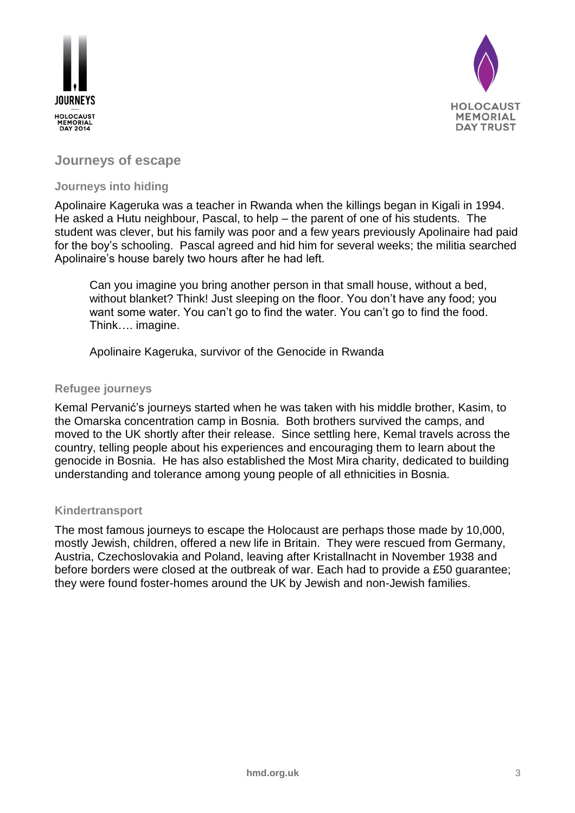



## **Journeys of escape**

### **Journeys into hiding**

Apolinaire Kageruka was a teacher in Rwanda when the killings began in Kigali in 1994. He asked a Hutu neighbour, Pascal, to help – the parent of one of his students. The student was clever, but his family was poor and a few years previously Apolinaire had paid for the boy's schooling. Pascal agreed and hid him for several weeks; the militia searched Apolinaire's house barely two hours after he had left.

Can you imagine you bring another person in that small house, without a bed, without blanket? Think! Just sleeping on the floor. You don't have any food; you want some water. You can't go to find the water. You can't go to find the food. Think…. imagine.

Apolinaire Kageruka, survivor of the Genocide in Rwanda

### **Refugee journeys**

Kemal Pervanić's journeys started when he was taken with his middle brother, Kasim, to the Omarska concentration camp in Bosnia. Both brothers survived the camps, and moved to the UK shortly after their release. Since settling here, Kemal travels across the country, telling people about his experiences and encouraging them to learn about the genocide in Bosnia. He has also established the Most Mira charity, dedicated to building understanding and tolerance among young people of all ethnicities in Bosnia.

#### **Kindertransport**

The most famous journeys to escape the Holocaust are perhaps those made by 10,000, mostly Jewish, children, offered a new life in Britain. They were rescued from Germany, Austria, Czechoslovakia and Poland, leaving after Kristallnacht in November 1938 and before borders were closed at the outbreak of war. Each had to provide a £50 guarantee; they were found foster-homes around the UK by Jewish and non-Jewish families.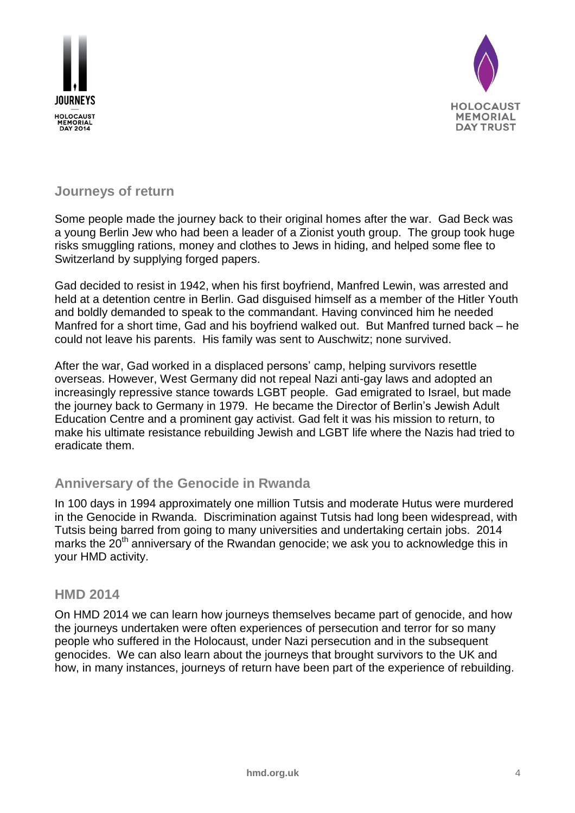



## **Journeys of return**

Some people made the journey back to their original homes after the war. Gad Beck was a young Berlin Jew who had been a leader of a Zionist youth group. The group took huge risks smuggling rations, money and clothes to Jews in hiding, and helped some flee to Switzerland by supplying forged papers.

Gad decided to resist in 1942, when his first boyfriend, Manfred Lewin, was arrested and held at a detention centre in Berlin. Gad disguised himself as a member of the Hitler Youth and boldly demanded to speak to the commandant. Having convinced him he needed Manfred for a short time, Gad and his boyfriend walked out. But Manfred turned back – he could not leave his parents. His family was sent to Auschwitz; none survived.

After the war, Gad worked in a displaced persons' camp, helping survivors resettle overseas. However, West Germany did not repeal Nazi anti-gay laws and adopted an increasingly repressive stance towards LGBT people. Gad emigrated to Israel, but made the journey back to Germany in 1979. He became the Director of Berlin's Jewish Adult Education Centre and a prominent gay activist. Gad felt it was his mission to return, to make his ultimate resistance rebuilding Jewish and LGBT life where the Nazis had tried to eradicate them.

## **Anniversary of the Genocide in Rwanda**

In 100 days in 1994 approximately one million Tutsis and moderate Hutus were murdered in the Genocide in Rwanda. Discrimination against Tutsis had long been widespread, with Tutsis being barred from going to many universities and undertaking certain jobs. 2014 marks the  $20<sup>th</sup>$  anniversary of the Rwandan genocide; we ask you to acknowledge this in your HMD activity.

### **HMD 2014**

On HMD 2014 we can learn how journeys themselves became part of genocide, and how the journeys undertaken were often experiences of persecution and terror for so many people who suffered in the Holocaust, under Nazi persecution and in the subsequent genocides. We can also learn about the journeys that brought survivors to the UK and how, in many instances, journeys of return have been part of the experience of rebuilding.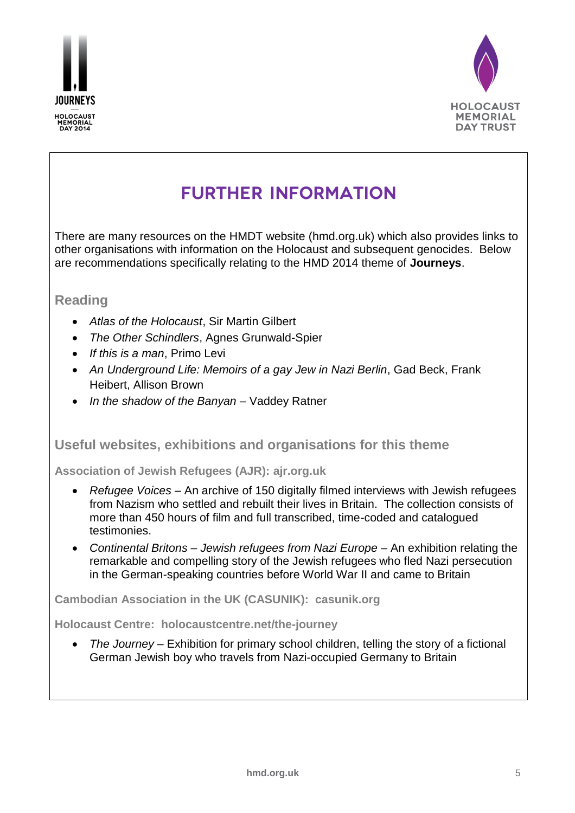



## **FURTHER INFORMATION**

There are many resources on the HMDT website (hmd.org.uk) which also provides links to other organisations with information on the Holocaust and subsequent genocides. Below are recommendations specifically relating to the HMD 2014 theme of **Journeys**.

## **Reading**

- *Atlas of the Holocaust*, Sir Martin Gilbert
- *The Other Schindlers*, Agnes Grunwald-Spier
- *If this is a man*, Primo Levi
- *An Underground Life: Memoirs of a gay Jew in Nazi Berlin*, Gad Beck, Frank Heibert, Allison Brown
- *In the shadow of the Banyan* Vaddey Ratner

### **Useful websites, exhibitions and organisations for this theme**

**Association of Jewish Refugees (AJR): [ajr.org.uk](http://www.ajr.org.uk/)**

- *Refugee Voices* An archive of 150 digitally filmed interviews with Jewish refugees from Nazism who settled and rebuilt their lives in Britain. The collection consists of more than 450 hours of film and full transcribed, time-coded and catalogued testimonies.
- *Continental Britons – Jewish refugees from Nazi Europe* An exhibition relating the remarkable and compelling story of the Jewish refugees who fled Nazi persecution in the German-speaking countries before World War II and came to Britain

**Cambodian Association in the UK (CASUNIK): casunik.org**

**Holocaust Centre: holocaustcentre.net/the-journey**

 *The Journey* – Exhibition for primary school children, telling the story of a fictional German Jewish boy who travels from Nazi-occupied Germany to Britain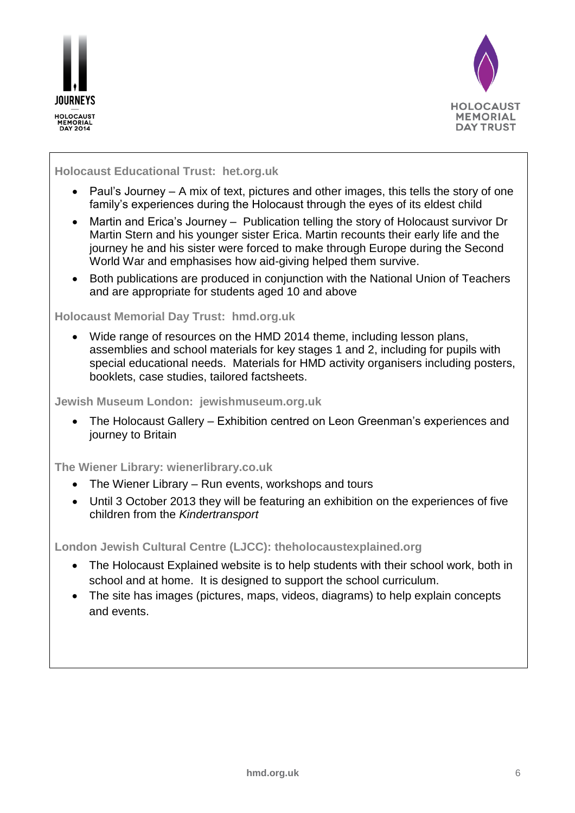



### **Holocaust Educational Trust: het.org.uk**

- Paul's Journey  $-$  A mix of text, pictures and other images, this tells the story of one family's experiences during the Holocaust through the eyes of its eldest child
- Martin and Erica's Journey Publication telling the story of Holocaust survivor Dr Martin Stern and his younger sister Erica. Martin recounts their early life and the journey he and his sister were forced to make through Europe during the Second World War and emphasises how aid-giving helped them survive.
- Both publications are produced in conjunction with the National Union of Teachers and are appropriate for students aged 10 and above

### **Holocaust Memorial Day Trust: hmd.org.uk**

 Wide range of resources on the HMD 2014 theme, including lesson plans, assemblies and school materials for key stages 1 and 2, including for pupils with special educational needs. Materials for HMD activity organisers including posters, booklets, case studies, tailored factsheets.

#### **Jewish Museum London: jewishmuseum.org.uk**

 The Holocaust Gallery – Exhibition centred on Leon Greenman's experiences and journey to Britain

### **The Wiener Library: wienerlibrary.co.uk**

- The Wiener Library Run events, workshops and tours
- Until 3 October 2013 they will be featuring an exhibition on the experiences of five children from the *Kindertransport*

**London Jewish Cultural Centre (LJCC): [theholocaustexplained.org](http://www.theholocaustexplained.org/)**

- The Holocaust Explained website is to help students with their school work, both in school and at home. It is designed to support the school curriculum.
- The site has images (pictures, maps, videos, diagrams) to help explain concepts and events.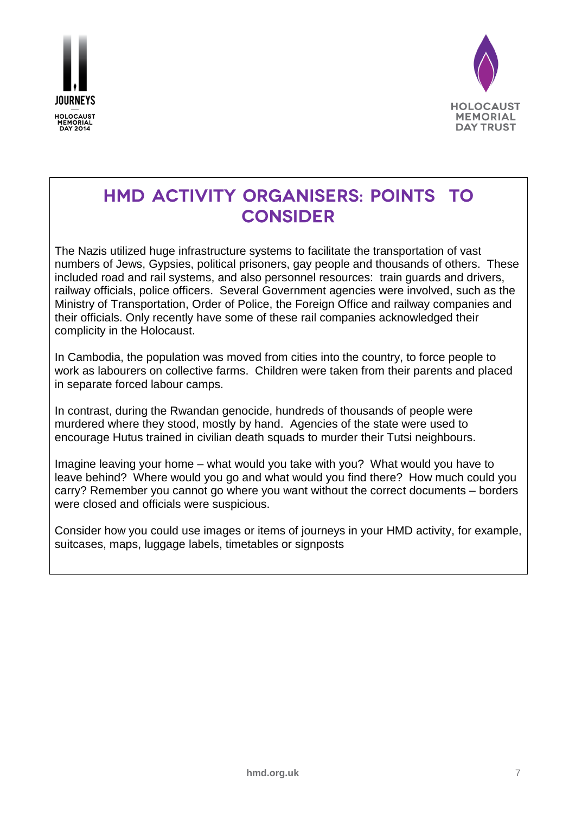



## HMD ACTIVITY ORGANISERS: POINTS TO **CONSIDER**

The Nazis utilized huge infrastructure systems to facilitate the transportation of vast numbers of Jews, Gypsies, political prisoners, gay people and thousands of others. These included road and rail systems, and also personnel resources: train guards and drivers, railway officials, police officers. Several Government agencies were involved, such as the Ministry of Transportation, Order of Police, the Foreign Office and railway companies and their officials. Only recently have some of these rail companies acknowledged their complicity in the Holocaust.

In Cambodia, the population was moved from cities into the country, to force people to work as labourers on collective farms. Children were taken from their parents and placed in separate forced labour camps.

In contrast, during the Rwandan genocide, hundreds of thousands of people were murdered where they stood, mostly by hand. Agencies of the state were used to encourage Hutus trained in civilian death squads to murder their Tutsi neighbours.

Imagine leaving your home – what would you take with you? What would you have to leave behind? Where would you go and what would you find there? How much could you carry? Remember you cannot go where you want without the correct documents – borders were closed and officials were suspicious.

Consider how you could use images or items of journeys in your HMD activity, for example, suitcases, maps, luggage labels, timetables or signposts